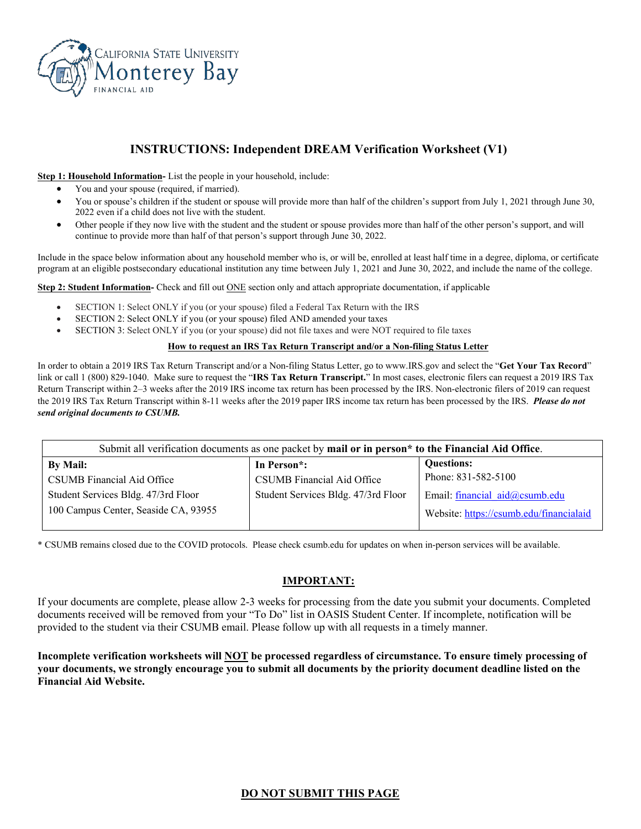

# **INSTRUCTIONS: Independent DREAM Verification Worksheet (V1)**

**Step 1: Household Information-** List the people in your household, include:

- You and your spouse (required, if married).
- You or spouse's children if the student or spouse will provide more than half of the children's support from July 1, 2021 through June 30, 2022 even if a child does not live with the student.
- Other people if they now live with the student and the student or spouse provides more than half of the other person's support, and will continue to provide more than half of that person's support through June 30, 2022.

Include in the space below information about any household member who is, or will be, enrolled at least half time in a degree, diploma, or certificate program at an eligible postsecondary educational institution any time between July 1, 2021 and June 30, 2022, and include the name of the college.

**Step 2: Student Information-** Check and fill out ONE section only and attach appropriate documentation, if applicable

- SECTION 1: Select ONLY if you (or your spouse) filed a Federal Tax Return with the IRS
- SECTION 2: Select ONLY if you (or your spouse) filed AND amended your taxes
- SECTION 3: Select ONLY if you (or your spouse) did not file taxes and were NOT required to file taxes

#### **How to request an IRS Tax Return Transcript and/or a Non-filing Status Letter**

In order to obtain a 2019 IRS Tax Return Transcript and/or a Non-filing Status Letter, go to www.IRS.gov and select the "**Get Your Tax Record**" link or call 1 (800) 829-1040. Make sure to request the "**IRS Tax Return Transcript.**" In most cases, electronic filers can request a 2019 IRS Tax Return Transcript within 2–3 weeks after the 2019 IRS income tax return has been processed by the IRS. Non-electronic filers of 2019 can request the 2019 IRS Tax Return Transcript within 8-11 weeks after the 2019 paper IRS income tax return has been processed by the IRS. *Please do not send original documents to CSUMB.*

| Submit all verification documents as one packet by mail or in person <sup>*</sup> to the Financial Aid Office. |                                     |                                         |  |  |
|----------------------------------------------------------------------------------------------------------------|-------------------------------------|-----------------------------------------|--|--|
| By Mail:                                                                                                       | In Person <sup>*</sup> :            | <b>Questions:</b>                       |  |  |
| CSUMB Financial Aid Office                                                                                     | CSUMB Financial Aid Office          | Phone: 831-582-5100                     |  |  |
| Student Services Bldg. 47/3rd Floor                                                                            | Student Services Bldg. 47/3rd Floor | Email: financial aid@csumb.edu          |  |  |
| 100 Campus Center, Seaside CA, 93955                                                                           |                                     | Website: https://csumb.edu/financialaid |  |  |

\* CSUMB remains closed due to the COVID protocols. Please check csumb.edu for updates on when in-person services will be available.

### **IMPORTANT:**

If your documents are complete, please allow 2-3 weeks for processing from the date you submit your documents. Completed documents received will be removed from your "To Do" list in OASIS Student Center. If incomplete, notification will be provided to the student via their CSUMB email. Please follow up with all requests in a timely manner.

**Incomplete verification worksheets will NOT be processed regardless of circumstance. To ensure timely processing of your documents, we strongly encourage you to submit all documents by the priority document deadline listed on the Financial Aid Website.**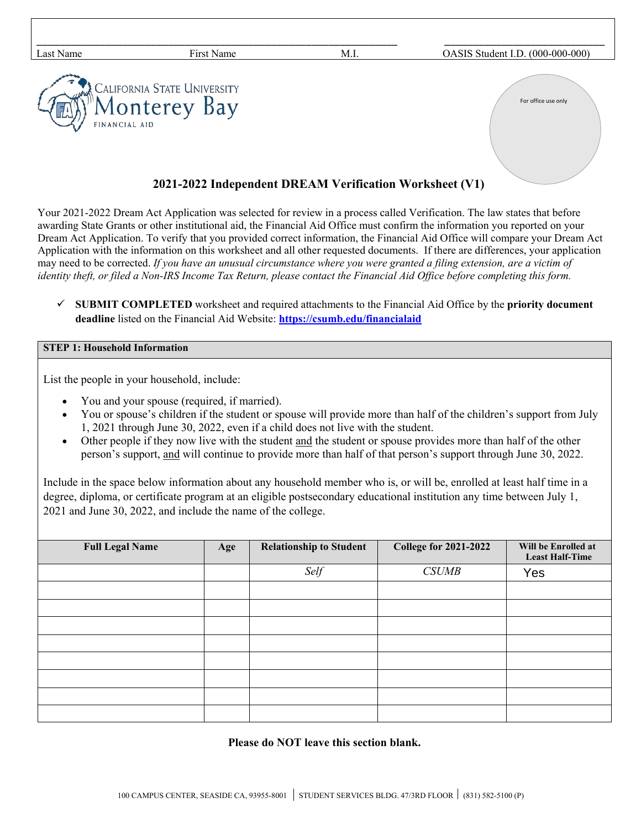| Last Name     | First Name                                  | M.I. | OASIS Student I.D. (000-000-000) |
|---------------|---------------------------------------------|------|----------------------------------|
| FINANCIAL AID | California State University<br>Monterey Bay |      | For office use only              |
|               |                                             |      |                                  |

## **2021-2022 Independent DREAM Verification Worksheet (V1)**

Your 2021-2022 Dream Act Application was selected for review in a process called Verification. The law states that before awarding State Grants or other institutional aid, the Financial Aid Office must confirm the information you reported on your Dream Act Application. To verify that you provided correct information, the Financial Aid Office will compare your Dream Act Application with the information on this worksheet and all other requested documents. If there are differences, your application may need to be corrected. *If you have an unusual circumstance where you were granted a filing extension, are a victim of identity theft, or filed a Non-IRS Income Tax Return, please contact the Financial Aid Office before completing this form.*

 **SUBMIT COMPLETED** worksheet and required attachments to the Financial Aid Office by the **priority document deadline** listed on the Financial Aid Website: **<https://csumb.edu/financialaid>**

### **STEP 1: Household Information**

List the people in your household, include:

- You and your spouse (required, if married).
- You or spouse's children if the student or spouse will provide more than half of the children's support from July 1, 2021 through June 30, 2022, even if a child does not live with the student.
- Other people if they now live with the student and the student or spouse provides more than half of the other person's support, and will continue to provide more than half of that person's support through June 30, 2022.

Include in the space below information about any household member who is, or will be, enrolled at least half time in a degree, diploma, or certificate program at an eligible postsecondary educational institution any time between July 1, 2021 and June 30, 2022, and include the name of the college.

| <b>Full Legal Name</b> | Age | <b>Relationship to Student</b> | <b>College for 2021-2022</b> | Will be Enrolled at<br><b>Least Half-Time</b> |
|------------------------|-----|--------------------------------|------------------------------|-----------------------------------------------|
|                        |     | Self                           | <b>CSUMB</b>                 | Yes                                           |
|                        |     |                                |                              |                                               |
|                        |     |                                |                              |                                               |
|                        |     |                                |                              |                                               |
|                        |     |                                |                              |                                               |
|                        |     |                                |                              |                                               |
|                        |     |                                |                              |                                               |
|                        |     |                                |                              |                                               |
|                        |     |                                |                              |                                               |

**Please do NOT leave this section blank.**